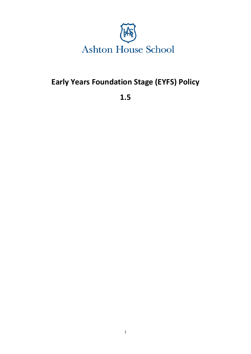

# **Early Years Foundation Stage (EYFS) Policy**

**1.5**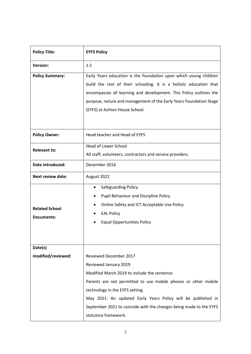| <b>Policy Title:</b>                       | <b>EYFS Policy</b>                                                                                                                                                                                                                                                                                                                                                        |
|--------------------------------------------|---------------------------------------------------------------------------------------------------------------------------------------------------------------------------------------------------------------------------------------------------------------------------------------------------------------------------------------------------------------------------|
| <b>Version:</b>                            | 1.5                                                                                                                                                                                                                                                                                                                                                                       |
| <b>Policy Summary:</b>                     | Early Years education is the foundation upon which young children<br>build the rest of their schooling. It is a holistic education that<br>encompasses all learning and development. This Policy outlines the<br>purpose, nature and management of the Early Years Foundation Stage<br>(EYFS) at Ashton House School.                                                     |
| <b>Policy Owner:</b>                       | Head teacher and Head of EYFS                                                                                                                                                                                                                                                                                                                                             |
| <b>Relevant to:</b>                        | <b>Head of Lower School</b><br>All staff, volunteers, contractors and service providers.                                                                                                                                                                                                                                                                                  |
| Date introduced:                           | December 2016                                                                                                                                                                                                                                                                                                                                                             |
| <b>Next review date:</b>                   | August 2022                                                                                                                                                                                                                                                                                                                                                               |
| <b>Related School</b><br><b>Documents:</b> | Safeguarding Policy<br>$\bullet$<br>Pupil Behaviour and Discipline Policy<br>Online Safety and ICT Acceptable Use Policy<br><b>EAL Policy</b><br><b>Equal Opportunities Policy</b>                                                                                                                                                                                        |
| Date(s)<br>modified/reviewed:              | <b>Reviewed December 2017</b><br>Reviewed January 2019<br>Modified March 2019 to include the sentence:<br>Parents are not permitted to use mobile phones or other mobile<br>technology in the EYFS setting.<br>May 2021: An updated Early Years Policy will be published in<br>September 2021 to coincide with the changes being made to the EYFS<br>statutory framework. |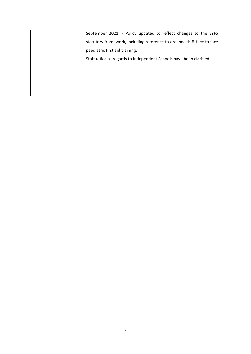| September 2021: - Policy updated to reflect changes to the EYFS        |
|------------------------------------------------------------------------|
| statutory framework, including reference to oral health & face to face |
| paediatric first aid training.                                         |
| Staff ratios as regards to Independent Schools have been clarified.    |
|                                                                        |
|                                                                        |
|                                                                        |
|                                                                        |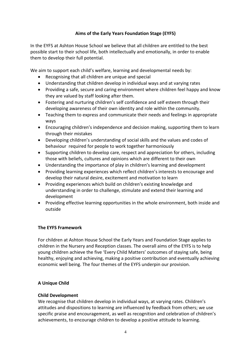# **Aims of the Early Years Foundation Stage (EYFS)**

In the EYFS at Ashton House School we believe that all children are entitled to the best possible start to their school life, both intellectually and emotionally, in order to enable them to develop their full potential.

We aim to support each child's welfare, learning and developmental needs by:

- Recognising that all children are unique and special
- Understanding that children develop in individual ways and at varying rates
- Providing a safe, secure and caring environment where children feel happy and know they are valued by staff looking after them.
- Fostering and nurturing children's self confidence and self esteem through their developing awareness of their own identity and role within the community.
- Teaching them to express and communicate their needs and feelings in appropriate ways
- Encouraging children's independence and decision making, supporting them to learn through their mistakes
- Developing children's understanding of social skills and the values and codes of behaviour required for people to work together harmoniously
- Supporting children to develop care, respect and appreciation for others, including those with beliefs, cultures and opinions which are different to their own
- Understanding the importance of play in children's learning and development
- Providing learning experiences which reflect children's interests to encourage and develop their natural desire, excitement and motivation to learn
- Providing experiences which build on children's existing knowledge and understanding in order to challenge, stimulate and extend their learning and development
- Providing effective learning opportunities in the whole environment, both inside and outside

## **The EYFS Framework**

For children at Ashton House School the Early Years and Foundation Stage applies to children in the Nursery and Reception classes. The overall aims of the EYFS is to help young children achieve the five 'Every Child Matters' outcomes of staying safe, being healthy, enjoying and achieving, making a positive contribution and eventually achieving economic well being. The four themes of the EYFS underpin our provision.

## **A Unique Child**

#### **Child Development**

We recognise that children develop in individual ways, at varying rates. Children's attitudes and dispositions to learning are influenced by feedback from others; we use specific praise and encouragement, as well as recognition and celebration of children's achievements, to encourage children to develop a positive attitude to learning.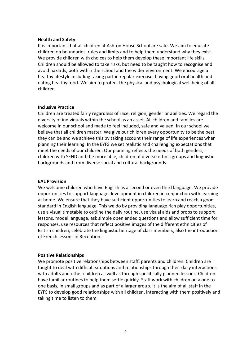#### **Health and Safety**

It is important that all children at Ashton House School are safe. We aim to educate children on boundaries, rules and limits and to help them understand why they exist. We provide children with choices to help them develop these important life skills. Children should be allowed to take risks, but need to be taught how to recognise and avoid hazards, both within the school and the wider environment. We encourage a healthy lifestyle including taking part in regular exercise, having good oral health and eating healthy food. We aim to protect the physical and psychological well being of all children.

#### **Inclusive Practice**

Children are treated fairly regardless of race, religion, gender or abilities. We regard the diversity of individuals within the school as an asset. All children and families are welcome in our school and made to feel included, safe and valued. In our school we believe that all children matter. We give our children every opportunity to be the best they can be and we achieve this by taking account their range of life experiences when planning their learning. In the EYFS we set realistic and challenging expectations that meet the needs of our children. Our planning reflects the needs of both genders, children with SEND and the more able, children of diverse ethnic groups and linguistic backgrounds and from diverse social and cultural backgrounds.

#### **EAL Provision**

We welcome children who have English as a second or even third language. We provide opportunities to support language development in children in conjunction with learning at home. We ensure that they have sufficient opportunities to learn and reach a good standard in English language. This we do by providing language rich play opportunities, use a visual timetable to outline the daily routine, use visual aids and props to support lessons, model language, ask simple open ended questions and allow sufficient time for responses, use resources that reflect positive images of the different ethnicities of British children, celebrate the linguistic heritage of class members, also the introduction of French lessons in Reception.

#### **Positive Relationships**

We promote positive relationships between staff, parents and children. Children are taught to deal with difficult situations and relationships through their daily interactions with adults and other children as well as through specifically planned lessons. Children have familiar routines to help them settle quickly. Staff work with children on a one to one basis, in small groups and as part of a larger group. It is the aim of all staff in the EYFS to develop good relationships with all children, interacting with them positively and taking time to listen to them.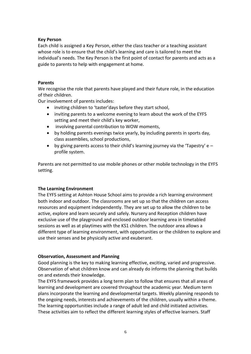#### **Key Person**

Each child is assigned a Key Person, either the class teacher or a teaching assistant whose role is to ensure that the child's learning and care is tailored to meet the individual's needs. The Key Person is the first point of contact for parents and acts as a guide to parents to help with engagement at home.

#### **Parents**

We recognise the role that parents have played and their future role, in the education of their children.

Our involvement of parents includes:

- inviting children to 'taster'days before they start school,
- inviting parents to a welcome evening to learn about the work of the EYFS setting and meet their child's key worker,
- involving parental contribution to WOW moments,
- by holding parents evenings twice yearly, by including parents in sports day, class assemblies, school productions,
- by giving parents access to their child's learning journey via the 'Tapestry'  $e$ profile system.

Parents are not permitted to use mobile phones or other mobile technology in the EYFS setting.

## **The Learning Environment**

The EYFS setting at Ashton House School aims to provide a rich learning environment both indoor and outdoor. The classrooms are set up so that the children can access resources and equipment independently. They are set up to allow the children to be active, explore and learn securely and safely. Nursery and Reception children have exclusive use of the playground and enclosed outdoor learning area in timetabled sessions as well as at playtimes with the KS1 children. The outdoor area allows a different type of learning environment, with opportunities or the children to explore and use their senses and be physically active and exuberant.

## **Observation, Assessment and Planning**

Good planning is the key to making learning effective, exciting, varied and progressive. Observation of what children know and can already do informs the planning that builds on and extends their knowledge.

The EYFS framework provides a long term plan to follow that ensures that all areas of learning and development are covered throughout the academic year. Medium term plans incorporate the learning and developmental targets. Weekly planning responds to the ongoing needs, interests and achievements of the children, usually within a theme. The learning opportunities include a range of adult led and child initiated activities. These activities aim to reflect the different learning styles of effective learners. Staff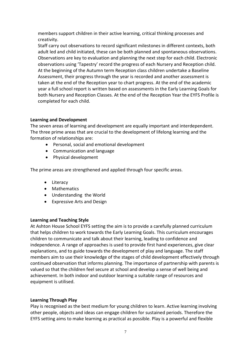members support children in their active learning, critical thinking processes and creativity.

Staff carry out observations to record significant milestones in different contexts, both adult led and child initiated, these can be both planned and spontaneous observations. Observations are key to evaluation and planning the next step for each child. Electronic observations using 'Tapestry' record the progress of each Nursery and Reception child. At the beginning of the Autumn term Reception class children undertake a Baseline Assessment, their progress through the year is recorded and another assessment is taken at the end of the Reception year to chart progress. At the end of the academic year a full school report is written based on assessments in the Early Learning Goals for both Nursery and Reception Classes. At the end of the Reception Year the EYFS Profile is completed for each child.

## **Learning and Development**

The seven areas of learning and development are equally important and interdependent. The three prime areas that are crucial to the development of lifelong learning and the formation of relationships are:

- Personal, social and emotional development
- Communication and language
- Physical development

The prime areas are strengthened and applied through four specific areas.

- Literacy
- Mathematics
- Understanding the World
- Expressive Arts and Design

#### **Learning and Teaching Style**

At Ashton House School EYFS setting the aim is to provide a carefully planned curriculum that helps children to work towards the Early Learning Goals. This curriculum encourages children to communicate and talk about their learning, leading to confidence and independence. A range of approaches is used to provide first hand experiences, give clear explanations, and to guide towards the development of play and language. The staff members aim to use their knowledge of the stages of child development effectively through continued observation that informs planning. The importance of partnership with parents is valued so that the children feel secure at school and develop a sense of well being and achievement. In both indoor and outdoor learning a suitable range of resources and equipment is utilised.

#### **Learning Through Play**

Play is recognised as the best medium for young children to learn. Active learning involving other people, objects and ideas can engage children for sustained periods. Therefore the EYFS setting aims to make learning as practical as possible. Play is a powerful and flexible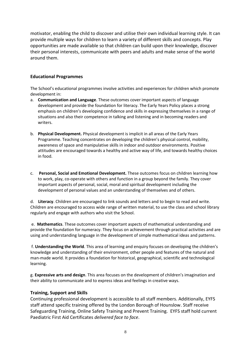motivator, enabling the child to discover and utilise their own individual learning style. It can provide multiple ways for children to learn a variety of different skills and concepts. Play opportunities are made available so that children can build upon their knowledge, discover their personal interests, communicate with peers and adults and make sense of the world around them.

## **Educational Programmes**

The School's educational programmes involve activities and experiences for children which promote development in:

- a. **Communication and Language**. These outcomes cover important aspects of language development and provide the foundation for literacy. The Early Years Policy places a strong emphasis on children's developing confidence and skills in expressing themselves in a range of situations and also their competence in talking and listening and in becoming readers and writers.
- b. **Physical Development.** Physical development is implicit in all areas of the Early Years Programme. Teaching concentrates on developing the children's physical control, mobility, awareness of space and manipulative skills in indoor and outdoor environments. Positive attitudes are encouraged towards a healthy and active way of life, and towards healthy choices in food.
- c. **Personal, Social and Emotional Development.** These outcomes focus on children learning how to work, play, co-operate with others and function in a group beyond the family. They cover important aspects of personal, social, moral and spiritual development including the development of personal values and an understanding of themselves and of others.

d. **Literacy**. Children are encouraged to link sounds and letters and to begin to read and write. Children are encouraged to access wide range of written material, to use the class and school library regularly and engage with authors who visit the School.

e. **Mathematics**. These outcomes cover important aspects of mathematical understanding and provide the foundation for numeracy. They focus on achievement through practical activities and are using and understanding language in the development of simple mathematical ideas and patterns.

f. **Understanding the World**. This area of learning and enquiry focuses on developing the children's knowledge and understanding of their environment, other people and features of the natural and man-made world. It provides a foundation for historical, geographical, scientific and technological learning.

g. **Expressive arts and design**. This area focuses on the development of children's imagination and their ability to communicate and to express ideas and feelings in creative ways.

#### **Training, Support and Skills**

Continuing professional development is accessible to all staff members. Additionally, EYFS staff attend specific training offered by the London Borough of Hounslow. Staff receive Safeguarding Training, Online Safety Training and Prevent Training. EYFS staff hold current Paediatric First Aid Certificates *delivered face to face*.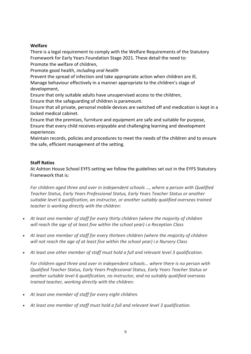## **Welfare**

There is a legal requirement to comply with the Welfare Requirements of the Statutory Framework for Early Years Foundation Stage 2021. These detail the need to: Promote the welfare of children,

Promote good health, *including oral health*

Prevent the spread of infection and take appropriate action when children are ill, Manage behaviour effectively in a manner appropriate to the children's stage of development,

Ensure that only suitable adults have unsupervised access to the children, Ensure that the safeguarding of children is paramount.

Ensure that all private, personal mobile devices are switched off and medication is kept in a locked medical cabinet.

Ensure that the premises, furniture and equipment are safe and suitable for purpose, Ensure that every child receives enjoyable and challenging learning and development experiences

Maintain records, policies and procedures to meet the needs of the children and to ensure the safe, efficient management of the setting.

## **Staff Ratios**

At Ashton House School EYFS setting we follow the guidelines set out in the EYFS Statutory Framework that is:

*For children aged three and over in independent schools …, where a person with Qualified Teacher Status, Early Years Professional Status, Early Years Teacher Status or another suitable level 6 qualification, an instructor, or another suitably qualified overseas trained teacher is working directly with the children:*

- *At least one member of staff for every thirty children (where the majority of children will reach the age of at least five within the school year) i.e Reception Class*
- *At least one member of staff for every thirteen children (where the majority of children will not reach the age of at least five within the school year) i.e Nursery Class*
- *At least one other member of staff must hold a full and relevant level 3 qualification.*

*For children aged three and over in independent schools… where there is no person with Qualified Teacher Status, Early Years Professional Status, Early Years Teacher Status or another suitable level 6 qualification, no instructor, and no suitably qualified overseas trained teacher, working directly with the children:*

- *At least one member of staff for every eight children.*
- *At least one member of staff must hold a full and relevant level 3 qualification.*